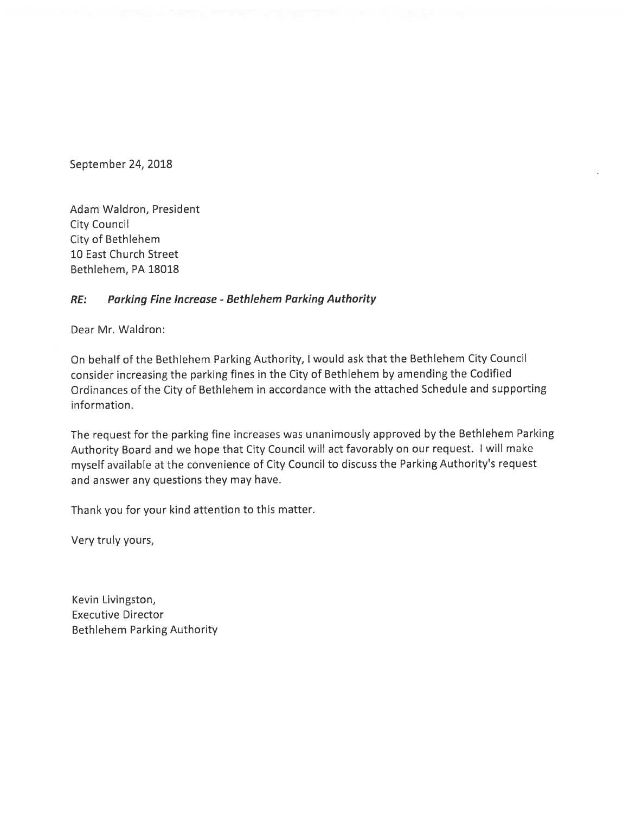September 24, 2018

Adam Waldron, President City Council City of Bethlehem 10 East Church Street Bethlehem, PA 18018

#### RE: Parking Fine Increase - Bethlehem Parking Authority

Dear Mr. Waldron:

On behalf of the Bethlehem Parking Authority, <sup>I</sup> would ask that the Bethlehem City Council consider increasing the parking fines in the City of Bethlehem by amending the Codified Ordinances of the City of Bethlehem in accordance with the attached Schedule and supporting information.

The request for the parking fine increases was unanimously approved by the Bethlehem Parking Authority Board and we hope that City Council will act favorably on our request. <sup>I</sup> will make myself available at the convenience of City Council to discuss the Parking Authority's request and answer any questions they may have.

Thank you for your kind attention to this matter.

Very truly yours,

Kevin Livingston, Executive Director Bethlehem Parking Authority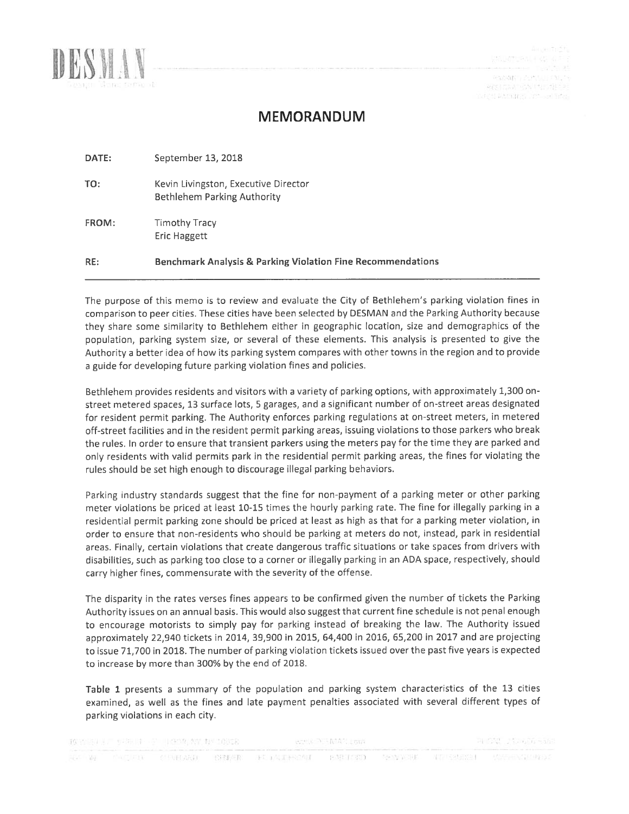

 $\mathcal{P}(\mathcal{W}(\mathcal{W})) \subseteq \mathcal{P}(\mathcal{W}) \cup \mathcal{P}(\mathcal{W}) \subseteq \mathcal{P}$ PESTOWN SAFTER MECH month waterings are sell inter-

## MEMORANDUM

| DATE: | September 13, 2018                                                     |
|-------|------------------------------------------------------------------------|
| TO:   | Kevin Livingston, Executive Director<br>Bethlehem Parking Authority    |
| FROM: | <b>Timothy Tracy</b><br><b>Eric Haggett</b>                            |
| RE:   | <b>Benchmark Analysis &amp; Parking Violation Fine Recommendations</b> |

The purpose of this memo is to review and evaluate the City of Bethlehem's parking violation fines in comparison to peer cities. These cities have been selected by DESMAN and the Parking Authority because they share some similarity to Bethlehem either in geographic location, size and demographics of the population, parking system size, or several of these elements. This analysis is presented to give the Authority <sup>a</sup> better idea of how its parking system compares with other towns in the region and to provide a guide for developing future parking violation fines and policies.

Bethlehem provides residents and visitors with <sup>a</sup> variety of parking options, with approximately 1,300 onstreet metered spaces, 13 surface lots, <sup>5</sup> garages, and <sup>a</sup> significant number of on-street areas designated for resident permit parking. The Authority enforces parking regulations at on-street meters, in metered off-street facilities and in the resident permit parking areas, issuing violations to those parkers who break the rules. In order to ensure that transient parkers using the meters pay for the time they are parked and only residents with valid permits park in the residential permit parking areas, the fines for violating the rules should be set high enough to discourage illegal parking behaviors.

Parking industry standards suggest that the fine for non-payment of <sup>a</sup> parking meter or other parking meter violations be priced at least 10-15 times the hourly parking rate. The fine for illegally parking in <sup>a</sup> residential permit parking zone should be priced at least as high as that for <sup>a</sup> parking meter violation, in order to ensure that non-residents who should be parking at meters do not, instead, park in residential areas. Finally, certain violations that create dangerous traffic situations or take spaces from drivers with disabilities, such as parking too close to <sup>a</sup> corner or illegally parking in an ADA space, respectively, should carry higher fines, commensurate with the severity of the offense.

The disparity in the rates verses fines appears to be confirmed given the number of tickets the Parking Authority issues on an annual basis. This would also suggest that current fine schedule is not penal enough to encourage motorists to simply pay for parking instead of breaking the law. The Authority issued approximately 22,940 tickets in 2014, 39,900 in 2015, 64,400 in 2016, 65,200 in 2017 and are projecting to issue 71,700 in 2018. The number of parking violation tickets issued over the past five years is expected to increase by more than 300% by the end of 2018.

Table <sup>1</sup> presents <sup>a</sup> summary of the population and parking system characteristics of the 13 cities examined, as well as the fines and late payment penalties associated with several different types of parking violations in each city.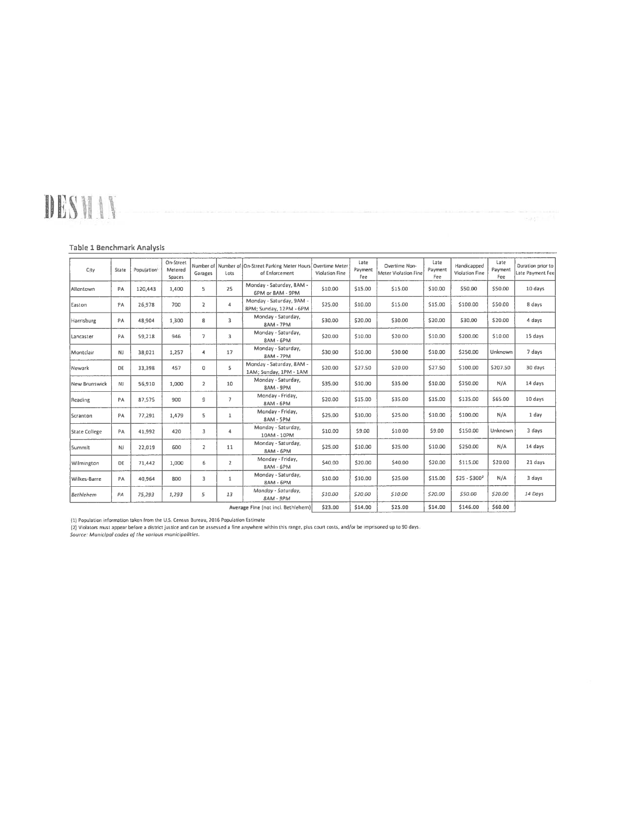# DESMAN

#### Table 1 Benchmark Analysis

| City                               | State | Population | On-Street<br>Metered<br>Spaces | Garages                 | Lots           | Number of Number of On-Street Parking Meter Hours<br>of Enforcement | <b>Overtime Meter</b><br>Violation Fine | Late<br>Payment<br>Fee | Overtime Non-<br>Meter Violation Fine | Late<br>Payment<br>Fee | Handicapped<br>Violation Fine | Late<br>Payment<br>Fee | Duration prior to<br>Late Payment Fee |
|------------------------------------|-------|------------|--------------------------------|-------------------------|----------------|---------------------------------------------------------------------|-----------------------------------------|------------------------|---------------------------------------|------------------------|-------------------------------|------------------------|---------------------------------------|
| Allentown                          | PA    | 120,443    | 1,400                          | 5                       | 25             | Monday - Saturday, 8AM -<br>6PM or 8AM - 9PM                        | \$10.00                                 | \$15.00                | \$15.00                               | \$10.00                | \$50.00                       | \$50.00                | 10 days                               |
| Easton                             | PA    | 26,978     | 700                            | $\overline{\mathbf{2}}$ | 4              | Monday - Saturday, 9AM -<br>8PM; Sunday, 12PM - 6PM                 | \$25.00                                 | \$10.00                | \$15.00                               | \$15.00                | \$100.00                      | \$50.00                | 8 days                                |
| Harrisburg                         | PA    | 48,904     | 1,300                          | 8                       | 3              | Monday - Saturday,<br><b>8AM - 7PM</b>                              | \$30.00                                 | \$20.00                | \$30.00                               | \$20.00                | \$30,00                       | \$20.00                | 4 days                                |
| Lancaster                          | PA    | 59,218     | 946                            | 7                       | 3              | Monday - Saturday,<br>8AM - 6PM                                     | \$20.00                                 | \$10.00                | \$20.00                               | \$10.00                | \$200.00                      | \$10.00                | 15 days                               |
| Montclair                          | NJ    | 38.021     | 1,257                          | $\overline{4}$          | 17             | Monday - Saturday,<br><b>8AM - 7PM</b>                              | \$30.00                                 | \$10.00                | \$30.00                               | \$10.00                | \$250.00                      | Unknown                | 7 days                                |
| Newark                             | DE    | 33,398     | 457                            | $\circ$                 | 5              | Monday - Saturday, BAM -<br>1AM; Sunday, 1PM - 1AM                  | \$20.00                                 | \$27.50                | \$20.00                               | \$27.50                | \$100.00                      | \$207.50               | 30 days                               |
| New Brunswick                      | NJ.   | 56,910     | 1,000                          | $\overline{2}$          | 10             | Monday - Saturday,<br>8AM - 9PM                                     | \$35.00                                 | \$10.00                | \$35.00                               | \$10.00                | \$250.00                      | N/A                    | 14 days                               |
| Reading                            | PA    | 87,575     | 900                            | 9                       | $\overline{ }$ | Monday - Friday,<br>8AM - 6PM                                       | \$20.00                                 | \$15.00                | \$35.00                               | \$15.00                | \$135.00                      | \$65.00                | 10 days                               |
| Scranton                           | PA    | 77,291     | 1,479                          | 5                       | $\mathbf{1}$   | Monday - Friday,<br>8AM - SPM                                       | \$25.00                                 | \$10,00                | \$25.00                               | \$10.00                | \$100.00                      | N/A                    | 1 day                                 |
| State College                      | PA    | 41,992     | 420                            | 3                       | 4              | Monday - Saturday,<br>10AM - 10PM                                   | \$10.00                                 | \$9.00                 | \$10.00                               | \$9.00                 | \$150.00                      | Unknown                | 3 days                                |
| Summit                             | NJ    | 22,019     | 600                            | $\overline{2}$          | 11             | Monday - Saturday,<br>8AM - 6PM                                     | \$25.00                                 | \$10.00                | \$25.00                               | \$10.00                | \$250.00                      | N/A                    | 14 days                               |
| Wilmington                         | DE    | 71,442     | 1,000                          | 6                       | $\overline{2}$ | Monday - Friday,<br>8AM - 6PM                                       | \$40.00                                 | \$20.00                | \$40.00                               | \$20.00                | \$115.00                      | \$20.00                | 21 days                               |
| Wilkes-Barre                       | PA    | 40.964     | 800                            | 3                       | $\mathbf{1}$   | Monday - Saturday,<br>8AM - 6PM                                     | \$10.00                                 | \$10.00                | \$25.00                               | \$15.00                | $$25 - $300^2$                | N/A                    | 3 days                                |
| <b>Bethlehem</b>                   | PA    | 75,293     | 1,293                          | 5                       | 13             | Monday - Saturday,<br>8AM - 9PM                                     | \$10.00                                 | \$20.00                | \$10.00                               | \$20.00                | \$50.00                       | \$20.00                | 14 Days                               |
| Average Fine (not incl. Bethlehem) |       |            |                                |                         | \$23.00        | \$14.00                                                             | \$25.00                                 | \$14.00                | \$146.00                              | \$60.00                |                               |                        |                                       |

(1) Population information taken from the U.S. Census Bureau, 2016 Population Estimate<br>(2) Violators must appear before a district justice and can be assessed a fine anywhere within this range, plus court costs, and/or be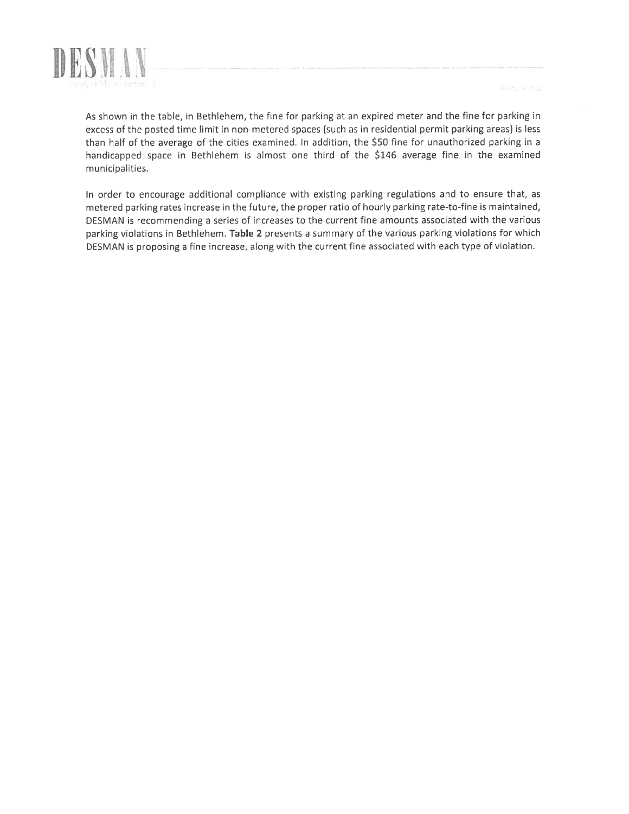

Parte à choi

As shown in the table, in Bethlehem, the fine for parking at an expired meter and the fine for parking in excess of the posted time limit in non-metered spaces (such as in residential permit parking areas) is less than half of the average of the cities examined. In addition, the \$50 fine for unauthorized parking in <sup>a</sup> handicapped space in Bethlehem is almost one third of the \$146 average fine in the examined municipalities.

In order to encourage additional compliance with existing parking regulations and to ensure that, as metered parking rates increase in the future, the proper ratio of hourly parking rate-to-fine is maintained, DESMAN is recommending <sup>a</sup> series of increases to the current fine amounts associated with the various parking violations in Bethlehem. Table 2 presents <sup>a</sup> summary of the various parking violations for which DESMAN is proposing <sup>a</sup> fine increase, along with the current fine associated with each type of violation.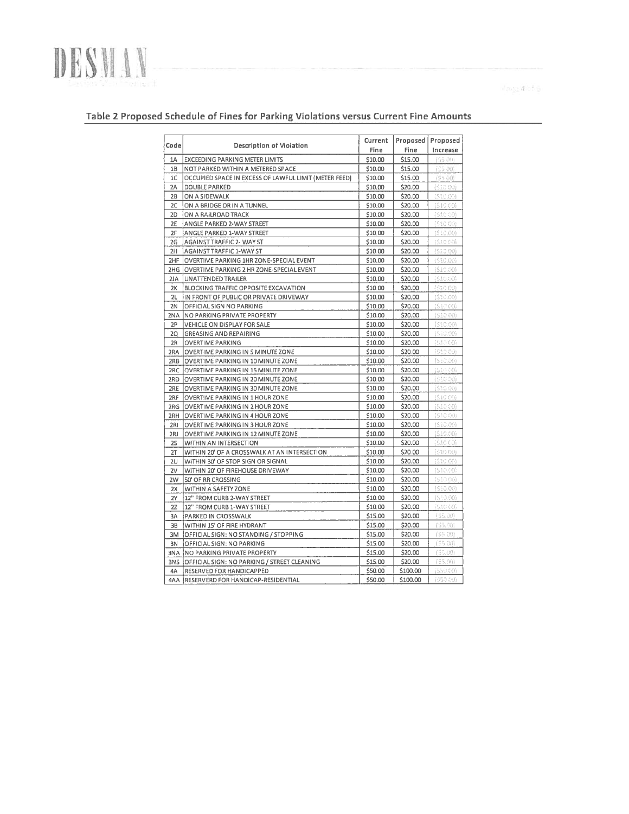

 $\deg a \leq 5$ 

### Table 2 Proposed Schedule of Fines for Parking Violations versus Current Fine Amounts

| \$10.00<br>\$15.00<br><b>EXCEEDING PARKING METER LIMITS</b><br>(\$5.00)<br>1A<br>\$15.00<br>18<br>NOT PARKED WITHIN A METERED SPACE<br>\$10.00<br>(45.00)<br>OCCUPIED SPACE IN EXCESS OF LAWFUL LIMIT (METER FEED)<br>1C<br>\$10.00<br>\$15.00<br>(55 (6)<br>2A<br>\$10,00<br>\$20.00<br>DOUBLE PARKED<br>(\$10.00)<br>ON A SIDEWALK<br>\$20.00<br>2B<br>\$10.00<br>(\$10.00)<br>2C<br>ON A BRIDGE OR IN A TUNNEL<br>\$10.00<br>\$20.00<br>(\$10.00)<br>2D<br>ON A RAILROAD TRACK<br>\$10.00<br>\$20.00<br>(\$10.00)<br>2E<br>\$10.00<br>\$20.00<br>(510,00)<br>ANGLE PARKED 2-WAY STREET<br>\$20.00<br>(S.10.00)<br>2F<br>ANGLE PARKED 1-WAY STREET<br>\$10.00<br>2G<br>AGAINST TRAFFIC 2- WAY ST<br>\$10.00<br>\$20.00<br>(\$10.00)<br>2H<br>AGAINST TRAFFIC 1-WAY ST<br>\$10.00<br>\$20.00<br>(510(60)<br>2HF<br>(\$10.00)<br>OVERTIME PARKING 1HR ZONE-SPECIAL EVENT<br>\$10.00<br>\$20.00<br>(510.00)<br>2HG<br>OVERTIME PARKING 2 HR ZONE-SPECIAL EVENT<br>\$10.00<br>\$20.00<br>2JA<br><b>UNATTENDED TRAILER</b><br>\$10.00<br>\$20.00<br>(510.00)<br>(510.00)<br>\$10.00<br>\$20.00<br>2K<br>BLOCKING TRAFFIC OPPOSITE EXCAVATION<br>21.<br>\$10.00<br>(510.00)<br>IN FRONT OF PUBLIC OR PRIVATE DRIVEWAY<br>\$20,00<br>2N<br>OFFICIAL SIGN NO PARKING<br>\$10.00<br>\$20.00<br>(51000)<br>2NA<br>NO PARKING PRIVATE PROPERTY<br>\$10.00<br>\$20.00<br>(51000)<br>(510.00)<br>2P<br>\$10.00<br>\$20.00<br>VEHICLE ON DISPLAY FOR SALE<br>(510.00)<br>2Q<br><b>GREASING AND REPAIRING</b><br>\$10.00<br>\$20.00<br>2R<br>\$10.00<br>\$20.00<br>{\$10.00}<br><b>OVERTIME PARKING</b><br>\$10.00<br>\$20.00<br>(\$10.00)<br>2RA<br>OVERTIME PARKING IN 5 MINUTE ZONE<br>\$10.00<br>\$20.00<br>(510,00)<br>2RB<br>OVERTIME PARKING IN 10 MINUTE ZONE<br>\$20.00<br>(519.00)<br>2RC<br>OVERTIME PARKING IN 15 MINUTE ZONE<br>\$10.00<br>{\$10 00}<br>2RD<br>OVERTIME PARKING IN 20 MINUTE ZONE<br>\$10.00<br>\$20.00<br>(530,00)<br>\$10.00<br>\$20.00<br>2RE<br>OVERTIME PARKING IN 30 MINUTE ZONE<br>(51000)<br>\$10.00<br>\$20.00<br>2RF<br>OVERTIME PARKING IN 1 HOUR ZONE<br>(51000)<br>\$10.00<br>\$20.00<br>2RG<br>OVERTIME PARKING IN 2 HOUR ZONE<br>\$10.00<br>\$20.00<br>(51000)<br>2RH<br><b>OVERTIME PARKING IN 4 HOUR ZONE</b><br>\$10.00<br>\$20.00<br>(510,00)<br>2RI<br>OVERTIME PARKING IN 3 HOUR ZONE<br>\$10.00<br>\$20.00<br>(\$10.00)<br>2RJ<br>OVERTIME PARKING IN 12 MINUTE ZONE<br>\$10.00<br>\$20.00<br>(\$10.00)<br>25<br>WITHIN AN INTERSECTION<br>(510,00)<br>2T<br>WITHIN 20' OF A CROSSWALK AT AN INTERSECTION<br>\$10.00<br>\$20.00<br>WITHIN 30' OF STOP SIGN OR SIGNAL<br>\$10.00<br>\$20.00<br>(510.00)<br>2U<br>\$10.00<br>\$20.00<br>(510.00)<br>2V<br>WITHIN 20' OF FIREHOUSE DRIVEWAY<br>\$10.00<br>\$20.00<br>(610.00)<br>2W<br>50' OF RR CROSSING<br>\$20.00<br>(510.00)<br>\$10.00<br>2X<br>WITHIN A SAFETY ZONE<br>\$20.00<br>(\$10.00)<br>\$10.00<br><b>2Y</b><br>12" FROM CURB 2-WAY STREET<br>(\$10.00)<br>\$10.00<br>\$20.00<br>22<br>12" FROM CURB 1-WAY STREET<br>\$15.00<br>\$20.00<br>(\$5,00)<br>3A<br>PARKED IN CROSSWALK<br>\$20.00<br>3B<br>WITHIN 15' OF FIRE HYDRANT<br>\$15.00<br>(65.00)<br>\$15.00<br>\$20.00<br>(55,00)<br>3M<br>OFFICIAL SIGN: NO STANDING / STOPPING<br>\$15.00<br>\$20.00<br>(55 00)<br>3N<br>OFFICIAL SIGN: NO PARKING<br>\$15.00<br>\$20.00<br>(55.00)<br><b>BNA</b><br><b>NO PARKING PRIVATE PROPERTY</b><br>\$15.00<br>\$20.00<br>(95.00)<br>3NS<br>OFFICIAL SIGN: NO PARKING / STREET CLEANING<br>\$50.00<br>\$100.00<br>(\$50.00)<br>4A<br>RESERVED FOR HANDICAPPED<br>(650.00)<br>4AA<br>RESERVERD FOR HANDICAP-RESIDENTIAL<br>\$50.00<br>\$100.00 | Code | Description of Violation | Current<br>Fine | Proposed<br>Fine | Proposed<br>Increase |
|---------------------------------------------------------------------------------------------------------------------------------------------------------------------------------------------------------------------------------------------------------------------------------------------------------------------------------------------------------------------------------------------------------------------------------------------------------------------------------------------------------------------------------------------------------------------------------------------------------------------------------------------------------------------------------------------------------------------------------------------------------------------------------------------------------------------------------------------------------------------------------------------------------------------------------------------------------------------------------------------------------------------------------------------------------------------------------------------------------------------------------------------------------------------------------------------------------------------------------------------------------------------------------------------------------------------------------------------------------------------------------------------------------------------------------------------------------------------------------------------------------------------------------------------------------------------------------------------------------------------------------------------------------------------------------------------------------------------------------------------------------------------------------------------------------------------------------------------------------------------------------------------------------------------------------------------------------------------------------------------------------------------------------------------------------------------------------------------------------------------------------------------------------------------------------------------------------------------------------------------------------------------------------------------------------------------------------------------------------------------------------------------------------------------------------------------------------------------------------------------------------------------------------------------------------------------------------------------------------------------------------------------------------------------------------------------------------------------------------------------------------------------------------------------------------------------------------------------------------------------------------------------------------------------------------------------------------------------------------------------------------------------------------------------------------------------------------------------------------------------------------------------------------------------------------------------------------------------------------------------------------------------------------------------------------------------------------------------------------------------------------------------------------------------------------------------------------------------------------------------------------------------------------------------------------------------------------------------------------------------------------------------|------|--------------------------|-----------------|------------------|----------------------|
|                                                                                                                                                                                                                                                                                                                                                                                                                                                                                                                                                                                                                                                                                                                                                                                                                                                                                                                                                                                                                                                                                                                                                                                                                                                                                                                                                                                                                                                                                                                                                                                                                                                                                                                                                                                                                                                                                                                                                                                                                                                                                                                                                                                                                                                                                                                                                                                                                                                                                                                                                                                                                                                                                                                                                                                                                                                                                                                                                                                                                                                                                                                                                                                                                                                                                                                                                                                                                                                                                                                                                                                                                                             |      |                          |                 |                  |                      |
|                                                                                                                                                                                                                                                                                                                                                                                                                                                                                                                                                                                                                                                                                                                                                                                                                                                                                                                                                                                                                                                                                                                                                                                                                                                                                                                                                                                                                                                                                                                                                                                                                                                                                                                                                                                                                                                                                                                                                                                                                                                                                                                                                                                                                                                                                                                                                                                                                                                                                                                                                                                                                                                                                                                                                                                                                                                                                                                                                                                                                                                                                                                                                                                                                                                                                                                                                                                                                                                                                                                                                                                                                                             |      |                          |                 |                  |                      |
|                                                                                                                                                                                                                                                                                                                                                                                                                                                                                                                                                                                                                                                                                                                                                                                                                                                                                                                                                                                                                                                                                                                                                                                                                                                                                                                                                                                                                                                                                                                                                                                                                                                                                                                                                                                                                                                                                                                                                                                                                                                                                                                                                                                                                                                                                                                                                                                                                                                                                                                                                                                                                                                                                                                                                                                                                                                                                                                                                                                                                                                                                                                                                                                                                                                                                                                                                                                                                                                                                                                                                                                                                                             |      |                          |                 |                  |                      |
|                                                                                                                                                                                                                                                                                                                                                                                                                                                                                                                                                                                                                                                                                                                                                                                                                                                                                                                                                                                                                                                                                                                                                                                                                                                                                                                                                                                                                                                                                                                                                                                                                                                                                                                                                                                                                                                                                                                                                                                                                                                                                                                                                                                                                                                                                                                                                                                                                                                                                                                                                                                                                                                                                                                                                                                                                                                                                                                                                                                                                                                                                                                                                                                                                                                                                                                                                                                                                                                                                                                                                                                                                                             |      |                          |                 |                  |                      |
|                                                                                                                                                                                                                                                                                                                                                                                                                                                                                                                                                                                                                                                                                                                                                                                                                                                                                                                                                                                                                                                                                                                                                                                                                                                                                                                                                                                                                                                                                                                                                                                                                                                                                                                                                                                                                                                                                                                                                                                                                                                                                                                                                                                                                                                                                                                                                                                                                                                                                                                                                                                                                                                                                                                                                                                                                                                                                                                                                                                                                                                                                                                                                                                                                                                                                                                                                                                                                                                                                                                                                                                                                                             |      |                          |                 |                  |                      |
|                                                                                                                                                                                                                                                                                                                                                                                                                                                                                                                                                                                                                                                                                                                                                                                                                                                                                                                                                                                                                                                                                                                                                                                                                                                                                                                                                                                                                                                                                                                                                                                                                                                                                                                                                                                                                                                                                                                                                                                                                                                                                                                                                                                                                                                                                                                                                                                                                                                                                                                                                                                                                                                                                                                                                                                                                                                                                                                                                                                                                                                                                                                                                                                                                                                                                                                                                                                                                                                                                                                                                                                                                                             |      |                          |                 |                  |                      |
|                                                                                                                                                                                                                                                                                                                                                                                                                                                                                                                                                                                                                                                                                                                                                                                                                                                                                                                                                                                                                                                                                                                                                                                                                                                                                                                                                                                                                                                                                                                                                                                                                                                                                                                                                                                                                                                                                                                                                                                                                                                                                                                                                                                                                                                                                                                                                                                                                                                                                                                                                                                                                                                                                                                                                                                                                                                                                                                                                                                                                                                                                                                                                                                                                                                                                                                                                                                                                                                                                                                                                                                                                                             |      |                          |                 |                  |                      |
|                                                                                                                                                                                                                                                                                                                                                                                                                                                                                                                                                                                                                                                                                                                                                                                                                                                                                                                                                                                                                                                                                                                                                                                                                                                                                                                                                                                                                                                                                                                                                                                                                                                                                                                                                                                                                                                                                                                                                                                                                                                                                                                                                                                                                                                                                                                                                                                                                                                                                                                                                                                                                                                                                                                                                                                                                                                                                                                                                                                                                                                                                                                                                                                                                                                                                                                                                                                                                                                                                                                                                                                                                                             |      |                          |                 |                  |                      |
|                                                                                                                                                                                                                                                                                                                                                                                                                                                                                                                                                                                                                                                                                                                                                                                                                                                                                                                                                                                                                                                                                                                                                                                                                                                                                                                                                                                                                                                                                                                                                                                                                                                                                                                                                                                                                                                                                                                                                                                                                                                                                                                                                                                                                                                                                                                                                                                                                                                                                                                                                                                                                                                                                                                                                                                                                                                                                                                                                                                                                                                                                                                                                                                                                                                                                                                                                                                                                                                                                                                                                                                                                                             |      |                          |                 |                  |                      |
|                                                                                                                                                                                                                                                                                                                                                                                                                                                                                                                                                                                                                                                                                                                                                                                                                                                                                                                                                                                                                                                                                                                                                                                                                                                                                                                                                                                                                                                                                                                                                                                                                                                                                                                                                                                                                                                                                                                                                                                                                                                                                                                                                                                                                                                                                                                                                                                                                                                                                                                                                                                                                                                                                                                                                                                                                                                                                                                                                                                                                                                                                                                                                                                                                                                                                                                                                                                                                                                                                                                                                                                                                                             |      |                          |                 |                  |                      |
|                                                                                                                                                                                                                                                                                                                                                                                                                                                                                                                                                                                                                                                                                                                                                                                                                                                                                                                                                                                                                                                                                                                                                                                                                                                                                                                                                                                                                                                                                                                                                                                                                                                                                                                                                                                                                                                                                                                                                                                                                                                                                                                                                                                                                                                                                                                                                                                                                                                                                                                                                                                                                                                                                                                                                                                                                                                                                                                                                                                                                                                                                                                                                                                                                                                                                                                                                                                                                                                                                                                                                                                                                                             |      |                          |                 |                  |                      |
|                                                                                                                                                                                                                                                                                                                                                                                                                                                                                                                                                                                                                                                                                                                                                                                                                                                                                                                                                                                                                                                                                                                                                                                                                                                                                                                                                                                                                                                                                                                                                                                                                                                                                                                                                                                                                                                                                                                                                                                                                                                                                                                                                                                                                                                                                                                                                                                                                                                                                                                                                                                                                                                                                                                                                                                                                                                                                                                                                                                                                                                                                                                                                                                                                                                                                                                                                                                                                                                                                                                                                                                                                                             |      |                          |                 |                  |                      |
|                                                                                                                                                                                                                                                                                                                                                                                                                                                                                                                                                                                                                                                                                                                                                                                                                                                                                                                                                                                                                                                                                                                                                                                                                                                                                                                                                                                                                                                                                                                                                                                                                                                                                                                                                                                                                                                                                                                                                                                                                                                                                                                                                                                                                                                                                                                                                                                                                                                                                                                                                                                                                                                                                                                                                                                                                                                                                                                                                                                                                                                                                                                                                                                                                                                                                                                                                                                                                                                                                                                                                                                                                                             |      |                          |                 |                  |                      |
|                                                                                                                                                                                                                                                                                                                                                                                                                                                                                                                                                                                                                                                                                                                                                                                                                                                                                                                                                                                                                                                                                                                                                                                                                                                                                                                                                                                                                                                                                                                                                                                                                                                                                                                                                                                                                                                                                                                                                                                                                                                                                                                                                                                                                                                                                                                                                                                                                                                                                                                                                                                                                                                                                                                                                                                                                                                                                                                                                                                                                                                                                                                                                                                                                                                                                                                                                                                                                                                                                                                                                                                                                                             |      |                          |                 |                  |                      |
|                                                                                                                                                                                                                                                                                                                                                                                                                                                                                                                                                                                                                                                                                                                                                                                                                                                                                                                                                                                                                                                                                                                                                                                                                                                                                                                                                                                                                                                                                                                                                                                                                                                                                                                                                                                                                                                                                                                                                                                                                                                                                                                                                                                                                                                                                                                                                                                                                                                                                                                                                                                                                                                                                                                                                                                                                                                                                                                                                                                                                                                                                                                                                                                                                                                                                                                                                                                                                                                                                                                                                                                                                                             |      |                          |                 |                  |                      |
|                                                                                                                                                                                                                                                                                                                                                                                                                                                                                                                                                                                                                                                                                                                                                                                                                                                                                                                                                                                                                                                                                                                                                                                                                                                                                                                                                                                                                                                                                                                                                                                                                                                                                                                                                                                                                                                                                                                                                                                                                                                                                                                                                                                                                                                                                                                                                                                                                                                                                                                                                                                                                                                                                                                                                                                                                                                                                                                                                                                                                                                                                                                                                                                                                                                                                                                                                                                                                                                                                                                                                                                                                                             |      |                          |                 |                  |                      |
|                                                                                                                                                                                                                                                                                                                                                                                                                                                                                                                                                                                                                                                                                                                                                                                                                                                                                                                                                                                                                                                                                                                                                                                                                                                                                                                                                                                                                                                                                                                                                                                                                                                                                                                                                                                                                                                                                                                                                                                                                                                                                                                                                                                                                                                                                                                                                                                                                                                                                                                                                                                                                                                                                                                                                                                                                                                                                                                                                                                                                                                                                                                                                                                                                                                                                                                                                                                                                                                                                                                                                                                                                                             |      |                          |                 |                  |                      |
|                                                                                                                                                                                                                                                                                                                                                                                                                                                                                                                                                                                                                                                                                                                                                                                                                                                                                                                                                                                                                                                                                                                                                                                                                                                                                                                                                                                                                                                                                                                                                                                                                                                                                                                                                                                                                                                                                                                                                                                                                                                                                                                                                                                                                                                                                                                                                                                                                                                                                                                                                                                                                                                                                                                                                                                                                                                                                                                                                                                                                                                                                                                                                                                                                                                                                                                                                                                                                                                                                                                                                                                                                                             |      |                          |                 |                  |                      |
|                                                                                                                                                                                                                                                                                                                                                                                                                                                                                                                                                                                                                                                                                                                                                                                                                                                                                                                                                                                                                                                                                                                                                                                                                                                                                                                                                                                                                                                                                                                                                                                                                                                                                                                                                                                                                                                                                                                                                                                                                                                                                                                                                                                                                                                                                                                                                                                                                                                                                                                                                                                                                                                                                                                                                                                                                                                                                                                                                                                                                                                                                                                                                                                                                                                                                                                                                                                                                                                                                                                                                                                                                                             |      |                          |                 |                  |                      |
|                                                                                                                                                                                                                                                                                                                                                                                                                                                                                                                                                                                                                                                                                                                                                                                                                                                                                                                                                                                                                                                                                                                                                                                                                                                                                                                                                                                                                                                                                                                                                                                                                                                                                                                                                                                                                                                                                                                                                                                                                                                                                                                                                                                                                                                                                                                                                                                                                                                                                                                                                                                                                                                                                                                                                                                                                                                                                                                                                                                                                                                                                                                                                                                                                                                                                                                                                                                                                                                                                                                                                                                                                                             |      |                          |                 |                  |                      |
|                                                                                                                                                                                                                                                                                                                                                                                                                                                                                                                                                                                                                                                                                                                                                                                                                                                                                                                                                                                                                                                                                                                                                                                                                                                                                                                                                                                                                                                                                                                                                                                                                                                                                                                                                                                                                                                                                                                                                                                                                                                                                                                                                                                                                                                                                                                                                                                                                                                                                                                                                                                                                                                                                                                                                                                                                                                                                                                                                                                                                                                                                                                                                                                                                                                                                                                                                                                                                                                                                                                                                                                                                                             |      |                          |                 |                  |                      |
|                                                                                                                                                                                                                                                                                                                                                                                                                                                                                                                                                                                                                                                                                                                                                                                                                                                                                                                                                                                                                                                                                                                                                                                                                                                                                                                                                                                                                                                                                                                                                                                                                                                                                                                                                                                                                                                                                                                                                                                                                                                                                                                                                                                                                                                                                                                                                                                                                                                                                                                                                                                                                                                                                                                                                                                                                                                                                                                                                                                                                                                                                                                                                                                                                                                                                                                                                                                                                                                                                                                                                                                                                                             |      |                          |                 |                  |                      |
|                                                                                                                                                                                                                                                                                                                                                                                                                                                                                                                                                                                                                                                                                                                                                                                                                                                                                                                                                                                                                                                                                                                                                                                                                                                                                                                                                                                                                                                                                                                                                                                                                                                                                                                                                                                                                                                                                                                                                                                                                                                                                                                                                                                                                                                                                                                                                                                                                                                                                                                                                                                                                                                                                                                                                                                                                                                                                                                                                                                                                                                                                                                                                                                                                                                                                                                                                                                                                                                                                                                                                                                                                                             |      |                          |                 |                  |                      |
|                                                                                                                                                                                                                                                                                                                                                                                                                                                                                                                                                                                                                                                                                                                                                                                                                                                                                                                                                                                                                                                                                                                                                                                                                                                                                                                                                                                                                                                                                                                                                                                                                                                                                                                                                                                                                                                                                                                                                                                                                                                                                                                                                                                                                                                                                                                                                                                                                                                                                                                                                                                                                                                                                                                                                                                                                                                                                                                                                                                                                                                                                                                                                                                                                                                                                                                                                                                                                                                                                                                                                                                                                                             |      |                          |                 |                  |                      |
|                                                                                                                                                                                                                                                                                                                                                                                                                                                                                                                                                                                                                                                                                                                                                                                                                                                                                                                                                                                                                                                                                                                                                                                                                                                                                                                                                                                                                                                                                                                                                                                                                                                                                                                                                                                                                                                                                                                                                                                                                                                                                                                                                                                                                                                                                                                                                                                                                                                                                                                                                                                                                                                                                                                                                                                                                                                                                                                                                                                                                                                                                                                                                                                                                                                                                                                                                                                                                                                                                                                                                                                                                                             |      |                          |                 |                  |                      |
|                                                                                                                                                                                                                                                                                                                                                                                                                                                                                                                                                                                                                                                                                                                                                                                                                                                                                                                                                                                                                                                                                                                                                                                                                                                                                                                                                                                                                                                                                                                                                                                                                                                                                                                                                                                                                                                                                                                                                                                                                                                                                                                                                                                                                                                                                                                                                                                                                                                                                                                                                                                                                                                                                                                                                                                                                                                                                                                                                                                                                                                                                                                                                                                                                                                                                                                                                                                                                                                                                                                                                                                                                                             |      |                          |                 |                  |                      |
|                                                                                                                                                                                                                                                                                                                                                                                                                                                                                                                                                                                                                                                                                                                                                                                                                                                                                                                                                                                                                                                                                                                                                                                                                                                                                                                                                                                                                                                                                                                                                                                                                                                                                                                                                                                                                                                                                                                                                                                                                                                                                                                                                                                                                                                                                                                                                                                                                                                                                                                                                                                                                                                                                                                                                                                                                                                                                                                                                                                                                                                                                                                                                                                                                                                                                                                                                                                                                                                                                                                                                                                                                                             |      |                          |                 |                  |                      |
|                                                                                                                                                                                                                                                                                                                                                                                                                                                                                                                                                                                                                                                                                                                                                                                                                                                                                                                                                                                                                                                                                                                                                                                                                                                                                                                                                                                                                                                                                                                                                                                                                                                                                                                                                                                                                                                                                                                                                                                                                                                                                                                                                                                                                                                                                                                                                                                                                                                                                                                                                                                                                                                                                                                                                                                                                                                                                                                                                                                                                                                                                                                                                                                                                                                                                                                                                                                                                                                                                                                                                                                                                                             |      |                          |                 |                  |                      |
|                                                                                                                                                                                                                                                                                                                                                                                                                                                                                                                                                                                                                                                                                                                                                                                                                                                                                                                                                                                                                                                                                                                                                                                                                                                                                                                                                                                                                                                                                                                                                                                                                                                                                                                                                                                                                                                                                                                                                                                                                                                                                                                                                                                                                                                                                                                                                                                                                                                                                                                                                                                                                                                                                                                                                                                                                                                                                                                                                                                                                                                                                                                                                                                                                                                                                                                                                                                                                                                                                                                                                                                                                                             |      |                          |                 |                  |                      |
|                                                                                                                                                                                                                                                                                                                                                                                                                                                                                                                                                                                                                                                                                                                                                                                                                                                                                                                                                                                                                                                                                                                                                                                                                                                                                                                                                                                                                                                                                                                                                                                                                                                                                                                                                                                                                                                                                                                                                                                                                                                                                                                                                                                                                                                                                                                                                                                                                                                                                                                                                                                                                                                                                                                                                                                                                                                                                                                                                                                                                                                                                                                                                                                                                                                                                                                                                                                                                                                                                                                                                                                                                                             |      |                          |                 |                  |                      |
|                                                                                                                                                                                                                                                                                                                                                                                                                                                                                                                                                                                                                                                                                                                                                                                                                                                                                                                                                                                                                                                                                                                                                                                                                                                                                                                                                                                                                                                                                                                                                                                                                                                                                                                                                                                                                                                                                                                                                                                                                                                                                                                                                                                                                                                                                                                                                                                                                                                                                                                                                                                                                                                                                                                                                                                                                                                                                                                                                                                                                                                                                                                                                                                                                                                                                                                                                                                                                                                                                                                                                                                                                                             |      |                          |                 |                  |                      |
|                                                                                                                                                                                                                                                                                                                                                                                                                                                                                                                                                                                                                                                                                                                                                                                                                                                                                                                                                                                                                                                                                                                                                                                                                                                                                                                                                                                                                                                                                                                                                                                                                                                                                                                                                                                                                                                                                                                                                                                                                                                                                                                                                                                                                                                                                                                                                                                                                                                                                                                                                                                                                                                                                                                                                                                                                                                                                                                                                                                                                                                                                                                                                                                                                                                                                                                                                                                                                                                                                                                                                                                                                                             |      |                          |                 |                  |                      |
|                                                                                                                                                                                                                                                                                                                                                                                                                                                                                                                                                                                                                                                                                                                                                                                                                                                                                                                                                                                                                                                                                                                                                                                                                                                                                                                                                                                                                                                                                                                                                                                                                                                                                                                                                                                                                                                                                                                                                                                                                                                                                                                                                                                                                                                                                                                                                                                                                                                                                                                                                                                                                                                                                                                                                                                                                                                                                                                                                                                                                                                                                                                                                                                                                                                                                                                                                                                                                                                                                                                                                                                                                                             |      |                          |                 |                  |                      |
|                                                                                                                                                                                                                                                                                                                                                                                                                                                                                                                                                                                                                                                                                                                                                                                                                                                                                                                                                                                                                                                                                                                                                                                                                                                                                                                                                                                                                                                                                                                                                                                                                                                                                                                                                                                                                                                                                                                                                                                                                                                                                                                                                                                                                                                                                                                                                                                                                                                                                                                                                                                                                                                                                                                                                                                                                                                                                                                                                                                                                                                                                                                                                                                                                                                                                                                                                                                                                                                                                                                                                                                                                                             |      |                          |                 |                  |                      |
|                                                                                                                                                                                                                                                                                                                                                                                                                                                                                                                                                                                                                                                                                                                                                                                                                                                                                                                                                                                                                                                                                                                                                                                                                                                                                                                                                                                                                                                                                                                                                                                                                                                                                                                                                                                                                                                                                                                                                                                                                                                                                                                                                                                                                                                                                                                                                                                                                                                                                                                                                                                                                                                                                                                                                                                                                                                                                                                                                                                                                                                                                                                                                                                                                                                                                                                                                                                                                                                                                                                                                                                                                                             |      |                          |                 |                  |                      |
|                                                                                                                                                                                                                                                                                                                                                                                                                                                                                                                                                                                                                                                                                                                                                                                                                                                                                                                                                                                                                                                                                                                                                                                                                                                                                                                                                                                                                                                                                                                                                                                                                                                                                                                                                                                                                                                                                                                                                                                                                                                                                                                                                                                                                                                                                                                                                                                                                                                                                                                                                                                                                                                                                                                                                                                                                                                                                                                                                                                                                                                                                                                                                                                                                                                                                                                                                                                                                                                                                                                                                                                                                                             |      |                          |                 |                  |                      |
|                                                                                                                                                                                                                                                                                                                                                                                                                                                                                                                                                                                                                                                                                                                                                                                                                                                                                                                                                                                                                                                                                                                                                                                                                                                                                                                                                                                                                                                                                                                                                                                                                                                                                                                                                                                                                                                                                                                                                                                                                                                                                                                                                                                                                                                                                                                                                                                                                                                                                                                                                                                                                                                                                                                                                                                                                                                                                                                                                                                                                                                                                                                                                                                                                                                                                                                                                                                                                                                                                                                                                                                                                                             |      |                          |                 |                  |                      |
|                                                                                                                                                                                                                                                                                                                                                                                                                                                                                                                                                                                                                                                                                                                                                                                                                                                                                                                                                                                                                                                                                                                                                                                                                                                                                                                                                                                                                                                                                                                                                                                                                                                                                                                                                                                                                                                                                                                                                                                                                                                                                                                                                                                                                                                                                                                                                                                                                                                                                                                                                                                                                                                                                                                                                                                                                                                                                                                                                                                                                                                                                                                                                                                                                                                                                                                                                                                                                                                                                                                                                                                                                                             |      |                          |                 |                  |                      |
|                                                                                                                                                                                                                                                                                                                                                                                                                                                                                                                                                                                                                                                                                                                                                                                                                                                                                                                                                                                                                                                                                                                                                                                                                                                                                                                                                                                                                                                                                                                                                                                                                                                                                                                                                                                                                                                                                                                                                                                                                                                                                                                                                                                                                                                                                                                                                                                                                                                                                                                                                                                                                                                                                                                                                                                                                                                                                                                                                                                                                                                                                                                                                                                                                                                                                                                                                                                                                                                                                                                                                                                                                                             |      |                          |                 |                  |                      |
|                                                                                                                                                                                                                                                                                                                                                                                                                                                                                                                                                                                                                                                                                                                                                                                                                                                                                                                                                                                                                                                                                                                                                                                                                                                                                                                                                                                                                                                                                                                                                                                                                                                                                                                                                                                                                                                                                                                                                                                                                                                                                                                                                                                                                                                                                                                                                                                                                                                                                                                                                                                                                                                                                                                                                                                                                                                                                                                                                                                                                                                                                                                                                                                                                                                                                                                                                                                                                                                                                                                                                                                                                                             |      |                          |                 |                  |                      |
|                                                                                                                                                                                                                                                                                                                                                                                                                                                                                                                                                                                                                                                                                                                                                                                                                                                                                                                                                                                                                                                                                                                                                                                                                                                                                                                                                                                                                                                                                                                                                                                                                                                                                                                                                                                                                                                                                                                                                                                                                                                                                                                                                                                                                                                                                                                                                                                                                                                                                                                                                                                                                                                                                                                                                                                                                                                                                                                                                                                                                                                                                                                                                                                                                                                                                                                                                                                                                                                                                                                                                                                                                                             |      |                          |                 |                  |                      |
|                                                                                                                                                                                                                                                                                                                                                                                                                                                                                                                                                                                                                                                                                                                                                                                                                                                                                                                                                                                                                                                                                                                                                                                                                                                                                                                                                                                                                                                                                                                                                                                                                                                                                                                                                                                                                                                                                                                                                                                                                                                                                                                                                                                                                                                                                                                                                                                                                                                                                                                                                                                                                                                                                                                                                                                                                                                                                                                                                                                                                                                                                                                                                                                                                                                                                                                                                                                                                                                                                                                                                                                                                                             |      |                          |                 |                  |                      |
|                                                                                                                                                                                                                                                                                                                                                                                                                                                                                                                                                                                                                                                                                                                                                                                                                                                                                                                                                                                                                                                                                                                                                                                                                                                                                                                                                                                                                                                                                                                                                                                                                                                                                                                                                                                                                                                                                                                                                                                                                                                                                                                                                                                                                                                                                                                                                                                                                                                                                                                                                                                                                                                                                                                                                                                                                                                                                                                                                                                                                                                                                                                                                                                                                                                                                                                                                                                                                                                                                                                                                                                                                                             |      |                          |                 |                  |                      |
|                                                                                                                                                                                                                                                                                                                                                                                                                                                                                                                                                                                                                                                                                                                                                                                                                                                                                                                                                                                                                                                                                                                                                                                                                                                                                                                                                                                                                                                                                                                                                                                                                                                                                                                                                                                                                                                                                                                                                                                                                                                                                                                                                                                                                                                                                                                                                                                                                                                                                                                                                                                                                                                                                                                                                                                                                                                                                                                                                                                                                                                                                                                                                                                                                                                                                                                                                                                                                                                                                                                                                                                                                                             |      |                          |                 |                  |                      |
|                                                                                                                                                                                                                                                                                                                                                                                                                                                                                                                                                                                                                                                                                                                                                                                                                                                                                                                                                                                                                                                                                                                                                                                                                                                                                                                                                                                                                                                                                                                                                                                                                                                                                                                                                                                                                                                                                                                                                                                                                                                                                                                                                                                                                                                                                                                                                                                                                                                                                                                                                                                                                                                                                                                                                                                                                                                                                                                                                                                                                                                                                                                                                                                                                                                                                                                                                                                                                                                                                                                                                                                                                                             |      |                          |                 |                  |                      |
|                                                                                                                                                                                                                                                                                                                                                                                                                                                                                                                                                                                                                                                                                                                                                                                                                                                                                                                                                                                                                                                                                                                                                                                                                                                                                                                                                                                                                                                                                                                                                                                                                                                                                                                                                                                                                                                                                                                                                                                                                                                                                                                                                                                                                                                                                                                                                                                                                                                                                                                                                                                                                                                                                                                                                                                                                                                                                                                                                                                                                                                                                                                                                                                                                                                                                                                                                                                                                                                                                                                                                                                                                                             |      |                          |                 |                  |                      |
|                                                                                                                                                                                                                                                                                                                                                                                                                                                                                                                                                                                                                                                                                                                                                                                                                                                                                                                                                                                                                                                                                                                                                                                                                                                                                                                                                                                                                                                                                                                                                                                                                                                                                                                                                                                                                                                                                                                                                                                                                                                                                                                                                                                                                                                                                                                                                                                                                                                                                                                                                                                                                                                                                                                                                                                                                                                                                                                                                                                                                                                                                                                                                                                                                                                                                                                                                                                                                                                                                                                                                                                                                                             |      |                          |                 |                  |                      |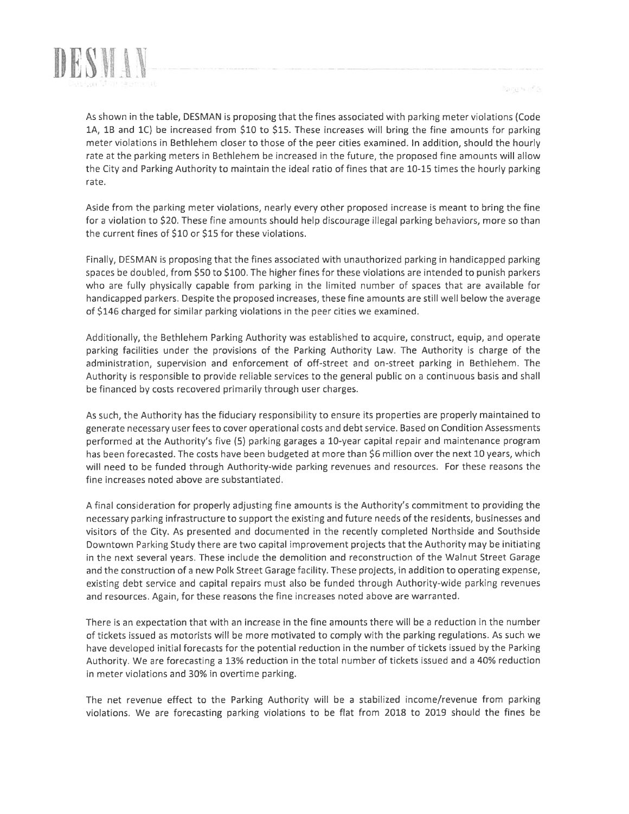



As shown in the table, DESMAN is proposing that the fines associated with parking meter violations (Code 1A, lB and 1C) be increased from \$10 to \$15. These increases will bring the fine amounts for parking meter violations in Bethlehem closer to those of the peer cities examined. In addition, should the hourly rate at the parking meters in Bethlehem be increased in the future, the proposed fine amounts will allow the City and Parking Authority to maintain the ideal ratio of fines that are 10-15 times the hourly parking rate.

Aside from the parking meter violations, nearly every other proposed increase is meant to bring the fine for <sup>a</sup> violation to \$20. These fine amounts should help discourage illegal parking behaviors, more so than the current fines of \$10 or \$15 for these violations.

Finally, DESMAN is proposing that the fines associated with unauthorized parking in handicapped parking spaces be doubled, from \$50 to \$100. The higher fines for these violations are intended to punish parkers who are fully physically capable from parking in the limited number of spaces that are available for handicapped parkers. Despite the proposed increases, these fine amounts are still well below the average of \$146 charged for similar parking violations in the peer cities we examined.

Additionally, the Bethlehem Parking Authority was established to acquire, construct, equip, and operate parking facilities under the provisions of the Parking Authority Law. The Authority is charge of the administration, supervision and enforcement of off-street and on-street parking in Bethlehem. The Authority is responsible to provide reliable services to the general public on <sup>a</sup> continuous basis and shall be financed by costs recovered primarily through user charges.

As such, the Authority has the fiduciary responsibility to ensure its properties are properly maintained to generate necessary user fees to cover operational costs and debt service. Based on Condition Assessments performed at the Authority's five (5) parking garages <sup>a</sup> 10-year capital repair and maintenance program has been forecasted. The costs have been budgeted at more than \$6 million over the next 10 years, which will need to be funded through Authority-wide parking revenues and resources. For these reasons the fine increases noted above are substantiated.

<sup>A</sup> final consideration for properly adjusting fine amounts is the Authority's commitment to providing the necessary parking infrastructure to support the existing and future needs of the residents, businesses and visitors of the City. As presented and documented in the recently completed Northside and Southside Downtown Parking Study there are two capital improvement projects that the Authority may be initiating in the next several years. These include the demolition and reconstruction of the Walnut Street Garage and the construction of <sup>a</sup> new Polk Street Garage facility. These projects, in addition to operating expense, existing debt service and capital repairs must also be funded through Authority-wide parking revenues and resources. Again, for these reasons the fine increases noted above are warranted.

There is an expectation that with an increase in the fine amounts there will be <sup>a</sup> reduction in the number of tickets issued as motorists will be more motivated to comply with the parking regulations. As such we have developed initial forecasts for the potential reduction in the number of tickets issued by the Parking Authority. We are forecasting <sup>a</sup> 13% reduction in the total number of tickets issued and <sup>a</sup> 40% reduction in meter violations and 30% in overtime parking.

The net revenue effect to the Parking Authority will be <sup>a</sup> stabilized income/revenue from parking violations. We are forecasting parking violations to be flat from 2018 to 2019 should the fines be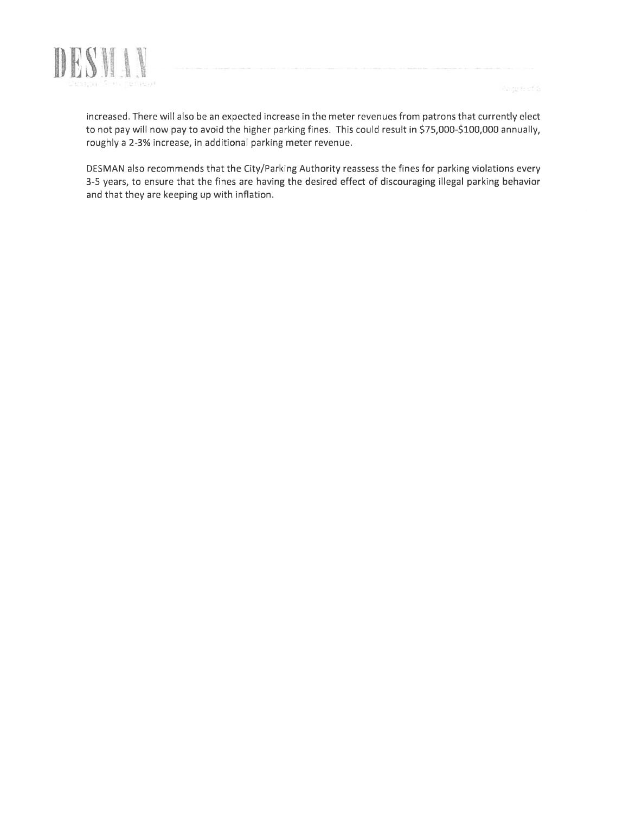

increased. There will also be an expected increase in the meter revenues from patrons that currently elect to not pay will now pay to avoid the higher parking fines. This could result in \$75,000-\$100,000 annually, roughly a 2-3% increase, in additional parking meter revenue.

DESMAN also recommends that the City/Parking Authority reassess the fines for parking violations every 3-5 years, to ensure that the fines are having the desired effect of discouraging illegal parking behavior and that they are keeping up with inflation.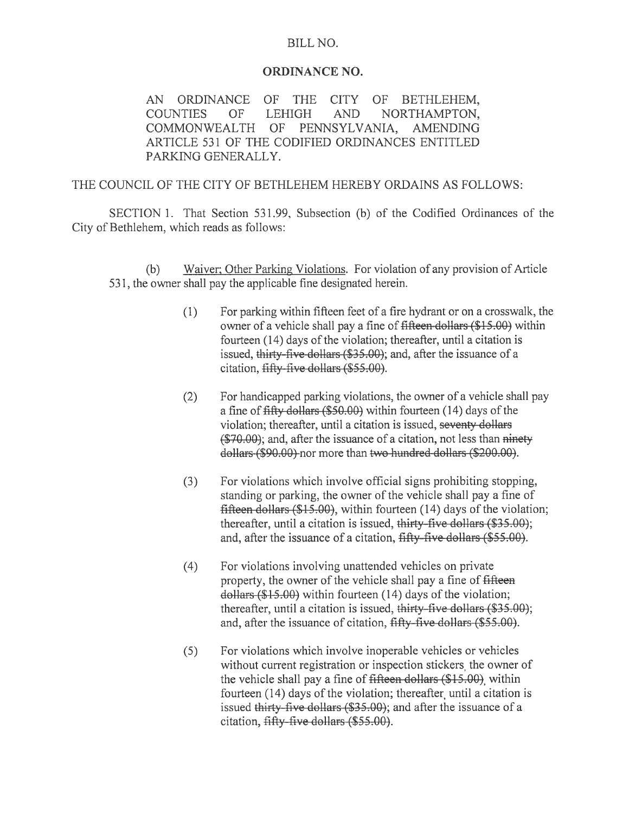#### BILL NO.

#### ORDINANCE NO.

AN ORDINANCE OF THE CITY OF BETHLEHEM, COUNTIES OF LEHIGH AND NORTHAMPTON, COMMONWEALTH OF PENNSYLVANIA, AMENDING ARTICLE 531 OF THE CODIFIED ORDINANCES ENTITLED PARKING GENERALLY.

#### THE COUNCIL OF THE CITY OF BETHLEHEM HEREBY ORDAINS AS FOLLOWS:

SECTION 1. That Section 531.99, Subsection (b) of the Codified Ordinances of the City of Bethlehem, which reads as follows:

(b) Waiver; Other Parking Violations. For violation of any provision of Article 531, the owner shall pay the applicable fine designated herein.

- (1) For parking within fifteen feet of a fire hydrant or on a crosswalk, the owner of a vehicle shall pay a fine of fifteen dollars (\$15.00) within fourteen  $(14)$  days of the violation; thereafter, until a citation is issued, thirty-five-dollars (\$35.00); and, after the issuance of a citation, fifty-five dollars (\$55.00).
- (2) For handicapped parking violations, the owner of a vehicle shall pay a fine of fifty dollars (\$50.00) within fourteen (14) days of the violation; thereafter, until a citation is issued, seventy dollars (\$70.00); and, after the issuance of a citation, not less than ninety dollars (\$90.00) nor more than two hundred dollars (\$200.00).
- (3) For violations which involve official signs prohibiting stopping, standing or parking, the owner of the vehicle shall pay a fine of fifteen dollars (\$15.00), within fourteen (14) days of the violation; thereafter, until a citation is issued, thirty-five dollars (\$35.00); and, after the issuance of a citation, fifty five dollars (\$55.00).
- (4) For violations involving unattended vehicles on private property, the owner of the vehicle shall pay a fine of fifteen dollars (\$15.00) within fourteen (14) days of the violation; thereafter, until a citation is issued, thirty-five dollars (\$35.00); and, after the issuance of citation, fifty-five dollars (\$55.00).
- (5) For violations which involve inoperable vehicles or vehicles without current registration or inspection stickers, the owner of the vehicle shall pay a fine of fifteen dollars (\$15.00), within fourteen (14) days of the violation; thereafter, until a citation is issued thirty-five dollars (\$35.00); and after the issuance of a citation, fifty five dollars (\$55.00).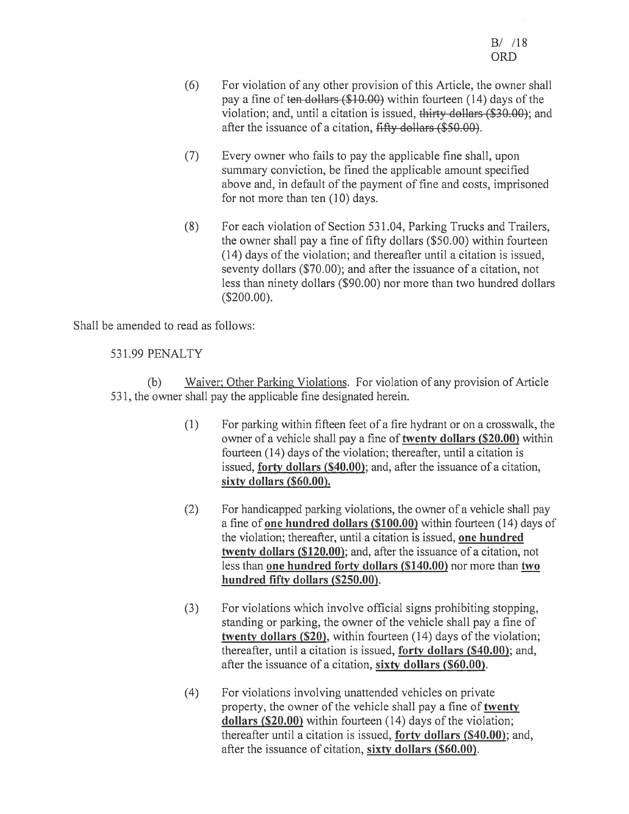- (6) For violation of any other provision of this Article, the owner shall pay a fine of ten dollars  $(\$10.00)$  within fourteen (14) days of the violation; and, until a citation is issued, thirty dollars (\$30.00); and after the issuance of a citation, fifty dollars (\$50.00).
- (7) Every owner who fails to pay the applicable fine shall, upon summary conviction, be fined the applicable amount specified above and, in default of the payment of fine and costs, imprisoned for not more than ten (10) days.
- (8) For each violation of Section 531.04, Parking Trucks and Trailers, the owner shall pay a fine of fifty dollars (\$50.00) within fourteen (14) days of the violation; and thereafter until a citation is issued, seventy dollars (\$70.00); and after the issuance of a citation, not less than ninety dollars (\$90.00) nor more than two hundred dollars (\$200.00).

Shall be amended to read as follows:

#### 531.99 PENALTY

(b) Waiver; Other Parking Violations. For violation of any provision of Article 531, the owner shall pay the applicable fine designated herein.

- (1) For parking within fifteen feet of a fire hydrant or on a crosswalk, the owner of a vehicle shall pay a fine of twenty dollars (\$20.00) within fourteen  $(14)$  days of the violation; thereafter, until a citation is issued, forty dollars (\$40.00); and, after the issuance of a citation, sixty dollars (\$60.00).
- (2) For handicapped parking violations, the owner of a vehicle shall pay a fine of one hundred dollars (\$100.00) within fourteen (14) days of the violation; thereafter, until a citation is issued, one hundred twenty dollars (\$120.00); and, after the issuance of a citation, not less than one hundred forty dollars (\$140.00) nor more than two hundred fifty dollars (\$250.00).
- (3) For violations which involve official signs prohibiting stopping, standing or parking, the owner of the vehicle shall pay a fine of twenty dollars (\$20), within fourteen (14) days of the violation; thereafter, until a citation is issued, forty dollars (\$40.00); and, after the issuance of a citation, sixty dollars (\$60.00).
- (4) For violations involving unattended vehicles on private property, the owner of the vehicle shall pay a fine of twenty dollars (\$20.00) within fourteen (14) days of the violation; thereafter until a citation is issued, forty dollars (\$40.00); and, after the issuance of citation, sixty dollars (\$60.00).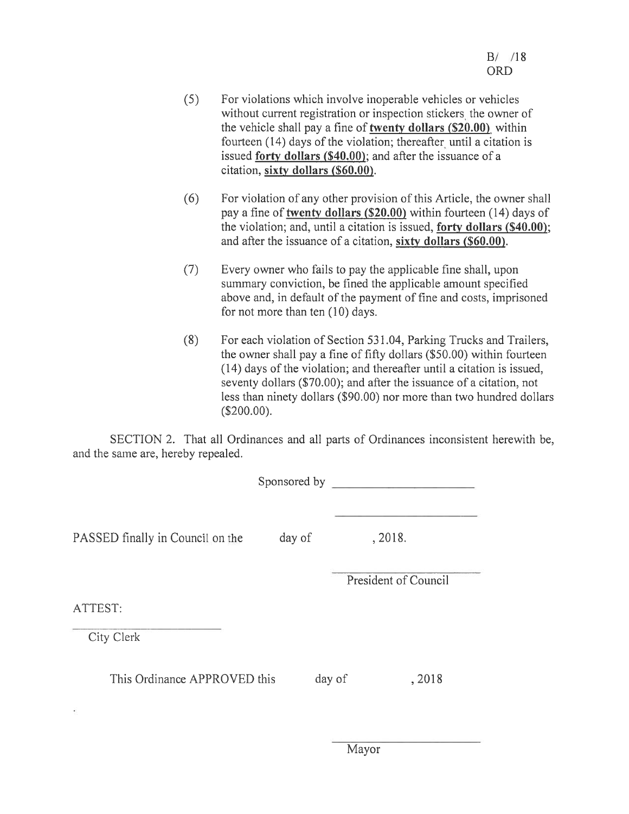- (5) For violations which involve inoperable vehicles or vehicles without current registration or inspection stickers, the owner of the vehicle shall pay a fine of twenty dollars (\$20.00), within fourteen  $(14)$  days of the violation; thereafter until a citation is issued forty dollars (\$40.00); and after the issuance of a citation, sixty dollars (\$60.00).
- (6) For violation of any other provision of this Article, the owner shall pay a fine of twenty dollars (\$20.00) within fourteen (14) days of the violation; and, until a citation is issued, forty dollars (\$40.00); and after the issuance of a citation, sixty dollars (\$60.00).
- (7) Every owner who fails to pay the applicable fine shall, upon summary conviction, be fined the applicable amount specified above and, in default of the payment of fine and costs, imprisoned for not more than ten (10) days.
- (8) For each violation of Section 531.04, Parking Trucks and Trailers, the owner shall pay a fine of fifty dollars (\$50.00) within fourteen (14) days of the violation; and thereafter until a citation is issued, seventy dollars (\$70.00); and after the issuance of a citation, not less than ninety dollars (\$90.00) nor more than two hundred dollars (\$200.00).

SECTION 2. That all Ordinances and all parts of Ordinances inconsistent herewith be, and the same are, hereby repealed.

|                                    | Sponsored by |                      |  |
|------------------------------------|--------------|----------------------|--|
| PASSED finally in Council on the   | day of       | , 2018.              |  |
|                                    |              | President of Council |  |
| ATTEST:                            |              |                      |  |
| City Clerk                         |              |                      |  |
| This Ordinance APPROVED this<br>á. | day of       | , 2018               |  |
|                                    |              |                      |  |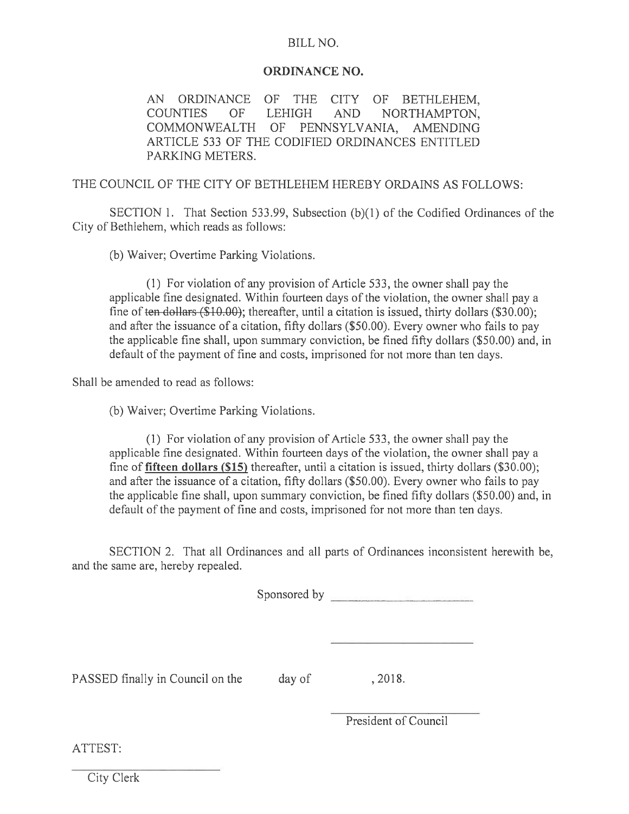#### BILL NO.

#### ORDINANCE NO.

AN ORDNANCE OF THE CITY OF BETHLEHEM, COUNTIES OF LEHIGH AND NORTHAMPTON, COMMONWEALTH Of PENNSYLVANIA, AMENDNG ARTICLE 533 Of THE CODIFIED ORDNANCES ENTITLED PARKING METERS.

THE COUNCIL OF THE CITY OF BETHLEHEM HEREBY ORDAINS AS FOLLOWS:

SECTION 1. That Section 533.99, Subsection (b)(1) of the Codified Ordinances of the City of Bethlehem, which reads as follows:

(b) Waiver; Overtime Parking Violations.

(1) For violation of any provision of Article 533, the owner shall pay the applicable fine designated. Within fourteen days of the violation, the owner shall pay a fine of ten dollars  $(\$10.00)$ ; thereafter, until a citation is issued, thirty dollars  $(\$30.00)$ ; and after the issuance of a citation, fifty dollars (\$50.00). Every owner who fails to pay the applicable fine shall, upon summary conviction, be fined fifty dollars (\$50.00) and, in default of the payment of fine and costs, imprisoned for not more than ten days.

Shall be amended to read as follows:

(b) Waiver; Overtime Parking Violations.

(1) For violation of any provision of Article 533, the owner shall pay the applicable fine designated. Within fourteen days of the violation, the owner shall pay a fine of fifteen dollars (\$15) thereafter, until a citation is issued, thirty dollars (\$30.00); and after the issuance of a citation, fifty dollars (\$50.00). Every owner who fails to pay the applicable fine shall, upon summary conviction, be fined fifty dollars (\$50.00) and, in default of the payment of fine and costs, imprisoned for not more than ten days.

SECTION 2. That all Ordinances and all parts of Ordinances inconsistent herewith be, and the same are, hereby repealed.

Sponsored by **Exercise Sponsored** by

PASSED finally in Council on the day of , 2018.

President of Council

ATTEST:

City Clerk